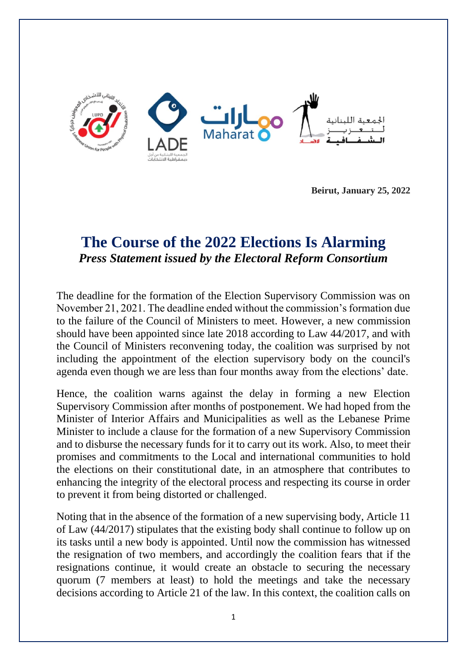

**Beirut, January 25, 2022**

## **The Course of the 2022 Elections Is Alarming** *Press Statement issued by the Electoral Reform Consortium*

The deadline for the formation of the Election Supervisory Commission was on November 21, 2021. The deadline ended without the commission's formation due to the failure of the Council of Ministers to meet. However, a new commission should have been appointed since late 2018 according to Law 44/2017, and with the Council of Ministers reconvening today, the coalition was surprised by not including the appointment of the election supervisory body on the council's agenda even though we are less than four months away from the elections' date.

Hence, the coalition warns against the delay in forming a new Election Supervisory Commission after months of postponement. We had hoped from the Minister of Interior Affairs and Municipalities as well as the Lebanese Prime Minister to include a clause for the formation of a new Supervisory Commission and to disburse the necessary funds for it to carry out its work. Also, to meet their promises and commitments to the Local and international communities to hold the elections on their constitutional date, in an atmosphere that contributes to enhancing the integrity of the electoral process and respecting its course in order to prevent it from being distorted or challenged .

Noting that in the absence of the formation of a new supervising body, Article 11 of Law (44/2017) stipulates that the existing body shall continue to follow up on its tasks until a new body is appointed. Until now the commission has witnessed the resignation of two members, and accordingly the coalition fears that if the resignations continue, it would create an obstacle to securing the necessary quorum (7 members at least) to hold the meetings and take the necessary decisions according to Article 21 of the law. In this context, the coalition calls on